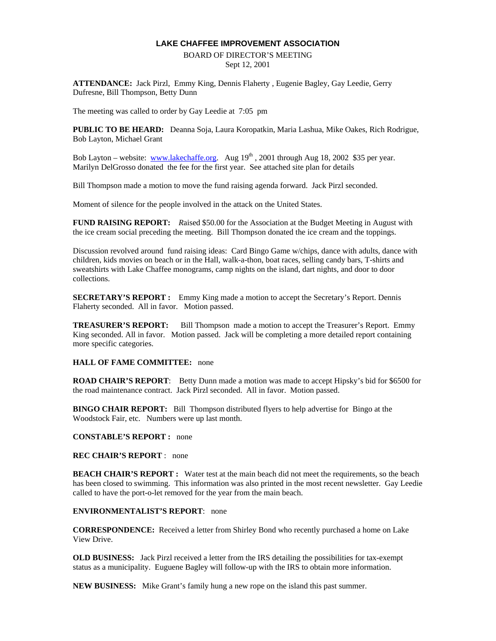#### **LAKE CHAFFEE IMPROVEMENT ASSOCIATION**

#### BOARD OF DIRECTOR'S MEETING Sept 12, 2001

**ATTENDANCE:** Jack Pirzl, Emmy King, Dennis Flaherty , Eugenie Bagley, Gay Leedie, Gerry Dufresne, Bill Thompson, Betty Dunn

The meeting was called to order by Gay Leedie at 7:05 pm

**PUBLIC TO BE HEARD:** Deanna Soja, Laura Koropatkin, Maria Lashua, Mike Oakes, Rich Rodrigue, Bob Layton, Michael Grant

Bob Layton – website: www.lakechaffe.org. Aug 19<sup>th</sup>, 2001 through Aug 18, 2002 \$35 per year. Marilyn DelGrosso donated the fee for the first year. See attached site plan for details

Bill Thompson made a motion to move the fund raising agenda forward. Jack Pirzl seconded.

Moment of silence for the people involved in the attack on the United States.

**FUND RAISING REPORT:** *R*aised \$50.00 for the Association at the Budget Meeting in August with the ice cream social preceding the meeting. Bill Thompson donated the ice cream and the toppings.

Discussion revolved around fund raising ideas: Card Bingo Game w/chips, dance with adults, dance with children, kids movies on beach or in the Hall, walk-a-thon, boat races, selling candy bars, T-shirts and sweatshirts with Lake Chaffee monograms, camp nights on the island, dart nights, and door to door collections.

**SECRETARY'S REPORT :** Emmy King made a motion to accept the Secretary's Report. Dennis Flaherty seconded. All in favor. Motion passed.

**TREASURER'S REPORT:** Bill Thompson made a motion to accept the Treasurer's Report. Emmy King seconded. All in favor. Motion passed. Jack will be completing a more detailed report containing more specific categories.

#### **HALL OF FAME COMMITTEE:** none

**ROAD CHAIR'S REPORT**: Betty Dunn made a motion was made to accept Hipsky's bid for \$6500 for the road maintenance contract. Jack Pirzl seconded. All in favor. Motion passed.

**BINGO CHAIR REPORT:** Bill Thompson distributed flyers to help advertise for Bingo at the Woodstock Fair, etc. Numbers were up last month.

#### **CONSTABLE'S REPORT :** none

#### **REC CHAIR'S REPORT** : none

**BEACH CHAIR'S REPORT :** Water test at the main beach did not meet the requirements, so the beach has been closed to swimming. This information was also printed in the most recent newsletter. Gay Leedie called to have the port-o-let removed for the year from the main beach.

#### **ENVIRONMENTALIST'S REPORT**: none

**CORRESPONDENCE:** Received a letter from Shirley Bond who recently purchased a home on Lake View Drive.

**OLD BUSINESS:** Jack Pirzl received a letter from the IRS detailing the possibilities for tax-exempt status as a municipality. Euguene Bagley will follow-up with the IRS to obtain more information.

**NEW BUSINESS:** Mike Grant's family hung a new rope on the island this past summer.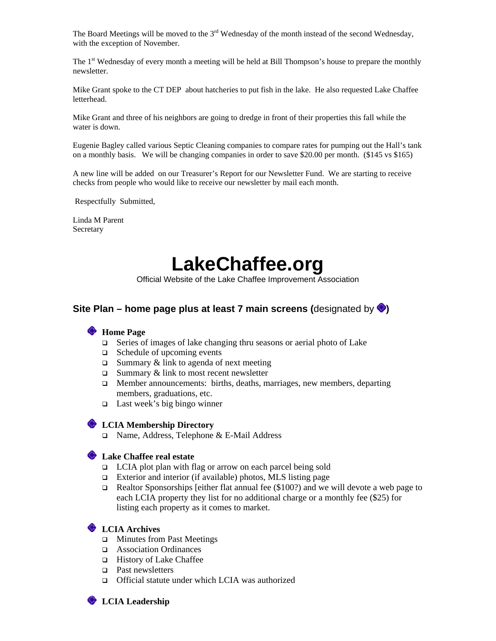The Board Meetings will be moved to the  $3<sup>rd</sup>$  Wednesday of the month instead of the second Wednesday, with the exception of November.

The 1<sup>st</sup> Wednesday of every month a meeting will be held at Bill Thompson's house to prepare the monthly newsletter.

Mike Grant spoke to the CT DEP about hatcheries to put fish in the lake. He also requested Lake Chaffee letterhead.

Mike Grant and three of his neighbors are going to dredge in front of their properties this fall while the water is down.

Eugenie Bagley called various Septic Cleaning companies to compare rates for pumping out the Hall's tank on a monthly basis. We will be changing companies in order to save \$20.00 per month. (\$145 vs \$165)

A new line will be added on our Treasurer's Report for our Newsletter Fund. We are starting to receive checks from people who would like to receive our newsletter by mail each month.

Respectfully Submitted,

Linda M Parent **Secretary** 

# **LakeChaffee.org**

Official Website of the Lake Chaffee Improvement Association

#### **Site Plan – home page plus at least 7 main screens (designated by**  $\bullet$ **)**

#### **Home Page**

- □ Series of images of lake changing thru seasons or aerial photo of Lake
- Schedule of upcoming events
- $\Box$  Summary & link to agenda of next meeting
- $\Box$  Summary & link to most recent newsletter
- □ Member announcements: births, deaths, marriages, new members, departing members, graduations, etc.
- $\Box$  Last week's big bingo winner

#### **LCIA Membership Directory**

Name, Address, Telephone & E-Mail Address

#### **Lake Chaffee real estate**

- □ LCIA plot plan with flag or arrow on each parcel being sold
- Exterior and interior (if available) photos, MLS listing page
- **Realtor Sponsorships [either flat annual fee (\$100?) and we will devote a web page to** each LCIA property they list for no additional charge or a monthly fee (\$25) for listing each property as it comes to market.

#### **LCIA Archives**

- □ Minutes from Past Meetings
- Association Ordinances
- □ History of Lake Chaffee
- □ Past newsletters
- Official statute under which LCIA was authorized

**CIA Leadership**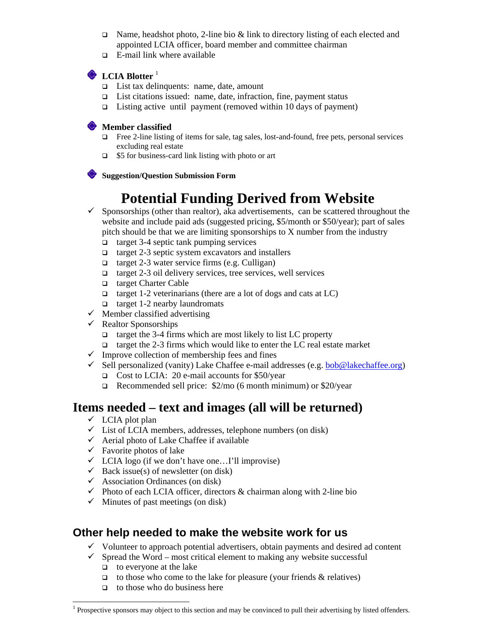- $\Box$  Name, headshot photo, 2-line bio & link to directory listing of each elected and appointed LCIA officer, board member and committee chairman
- $\Box$  E-mail link where available

### **CIA Blotter**<sup>1</sup>

- $\Box$  List tax delinquents: name, date, amount
- List citations issued: name, date, infraction, fine, payment status
- $\Box$  Listing active until payment (removed within 10 days of payment)

#### **Member classified**

- Free 2-line listing of items for sale, tag sales, lost-and-found, free pets, personal services excluding real estate
- □ \$5 for business-card link listing with photo or art

**Suggestion/Question Submission Form** 

## **Potential Funding Derived from Website**

- $\checkmark$  Sponsorships (other than realtor), aka advertisements, can be scattered throughout the website and include paid ads (suggested pricing, \$5/month or \$50/year); part of sales pitch should be that we are limiting sponsorships to X number from the industry
	- $\Box$  target 3-4 septic tank pumping services
	- $\Box$  target 2-3 septic system excavators and installers
	- $\Box$  target 2-3 water service firms (e.g. Culligan)
	- $\Box$  target 2-3 oil delivery services, tree services, well services
	- target Charter Cable
	- $\Box$  target 1-2 veterinarians (there are a lot of dogs and cats at LC)
	- $\Box$  target 1-2 nearby laundromats
- $\checkmark$  Member classified advertising
- $\checkmark$  Realtor Sponsorships
	- $\Box$  target the 3-4 firms which are most likely to list LC property
	- $\Box$  target the 2-3 firms which would like to enter the LC real estate market
- $\checkmark$  Improve collection of membership fees and fines
- $\checkmark$  Sell personalized (vanity) Lake Chaffee e-mail addresses (e.g. bob@lakechaffee.org)
	- Cost to LCIA: 20 e-mail accounts for \$50/year
	- Recommended sell price: \$2/mo (6 month minimum) or \$20/year

## **Items needed – text and images (all will be returned)**

- $\checkmark$  LCIA plot plan
- $\checkmark$  List of LCIA members, addresses, telephone numbers (on disk)
- $\checkmark$  Aerial photo of Lake Chaffee if available
- $\checkmark$  Favorite photos of lake
- $\checkmark$  LCIA logo (if we don't have one...I'll improvise)
- $\checkmark$  Back issue(s) of newsletter (on disk)
- $\checkmark$  Association Ordinances (on disk)
- $\checkmark$  Photo of each LCIA officer, directors & chairman along with 2-line bio
- $\checkmark$  Minutes of past meetings (on disk)

## **Other help needed to make the website work for us**

- $\checkmark$  Volunteer to approach potential advertisers, obtain payments and desired ad content
- $\checkmark$  Spread the Word most critical element to making any website successful
	- $\Box$  to everyone at the lake

 $\overline{a}$ 

- $\Box$  to those who come to the lake for pleasure (your friends & relatives)
- $\Box$  to those who do business here

<sup>&</sup>lt;sup>1</sup> Prospective sponsors may object to this section and may be convinced to pull their advertising by listed offenders.